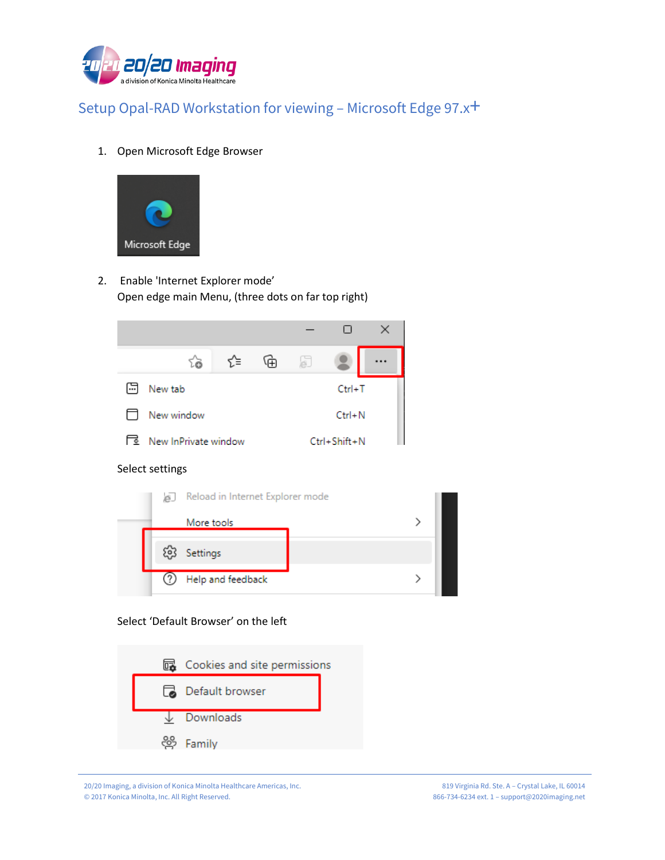

1. Open Microsoft Edge Browser



2. Enable 'Internet Explorer mode' Open edge main Menu, (three dots on far top right)

|     | ٤à                   | 论                  | 庙        | b |  |  |
|-----|----------------------|--------------------|----------|---|--|--|
| [∴] | New tab              |                    | $Ctrl+T$ |   |  |  |
|     | New window           | $Ctrl + N$         |          |   |  |  |
| ⊺⋸  | New InPrivate window | $Ctrl + Shift + N$ |          |   |  |  |

Select settings



Select 'Default Browser' on the left



20/20 Imaging, a division of Konica Minolta Healthcare Americas, Inc. © 2017 Konica Minolta, Inc. All Right Reserved.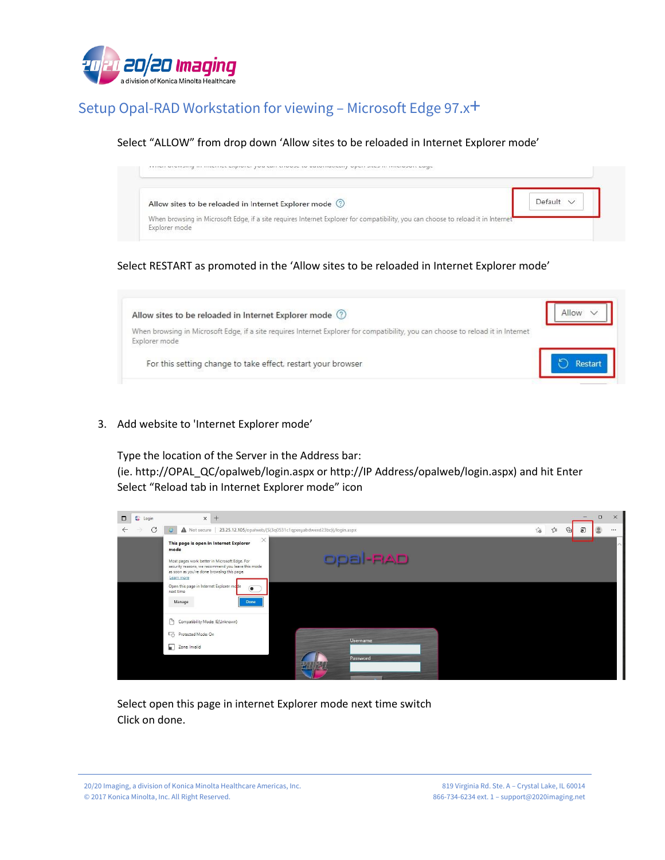

#### Select "ALLOW" from drop down 'Allow sites to be reloaded in Internet Explorer mode'



#### Select RESTART as promoted in the 'Allow sites to be reloaded in Internet Explorer mode'



3. Add website to 'Internet Explorer mode'

Type the location of the Server in the Address bar:

(ie. http://OPAL\_QC/opalweb/login.aspx or http://IP Address/opalweb/login.aspx) and hit Enter Select "Reload tab in Internet Explorer mode" icon



Select open this page in internet Explorer mode next time switch Click on done.

20/20 Imaging, a division of Konica Minolta Healthcare Americas, Inc. © 2017 Konica Minolta, Inc. All Right Reserved.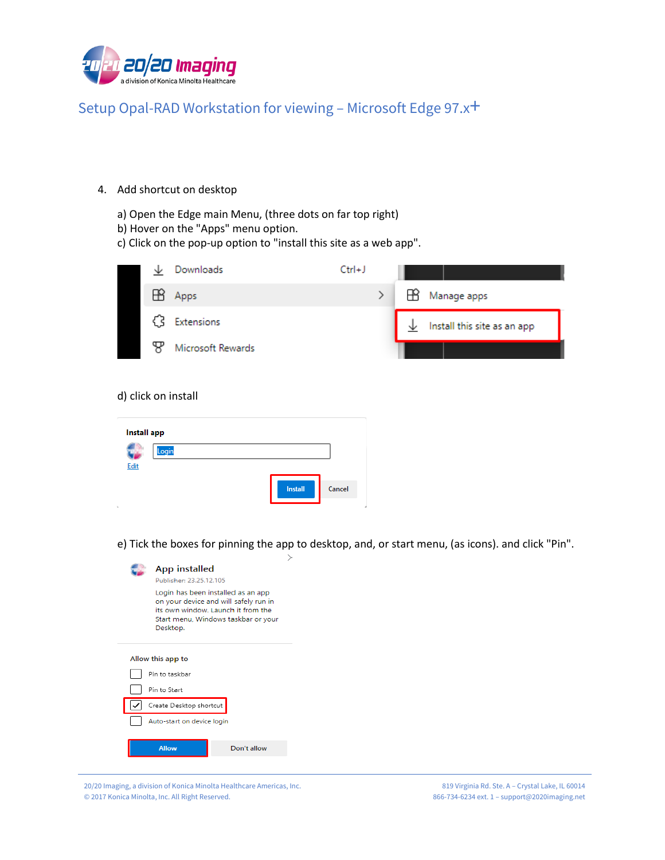

- 4. Add shortcut on desktop
	- a) Open the Edge main Menu, (three dots on far top right)
	- b) Hover on the "Apps" menu option.
	- c) Click on the pop-up option to "install this site as a web app".



#### d) click on install

L.

| <b>Install app</b> |       |  |  |                |        |
|--------------------|-------|--|--|----------------|--------|
|                    | Login |  |  |                |        |
| Edit               |       |  |  |                |        |
|                    |       |  |  | <b>Install</b> | Cancel |

e) Tick the boxes for pinning the app to desktop, and, or start menu, (as icons). and click "Pin".

| <b>App installed</b><br>Publisher: 23.25.12.105                                                                                                                      |  |
|----------------------------------------------------------------------------------------------------------------------------------------------------------------------|--|
| Login has been installed as an app<br>on your device and will safely run in<br>its own window. Launch it from the<br>Start menu, Windows taskbar or your<br>Desktop. |  |
| Allow this app to                                                                                                                                                    |  |
| Pin to taskbar                                                                                                                                                       |  |
| Pin to Start                                                                                                                                                         |  |
| Create Desktop shortcut                                                                                                                                              |  |
| Auto-start on device login                                                                                                                                           |  |
| <b>Allow</b><br>Don't allow                                                                                                                                          |  |

20/20 Imaging, a division of Konica Minolta Healthcare Americas, Inc. © 2017 Konica Minolta, Inc. All Right Reserved.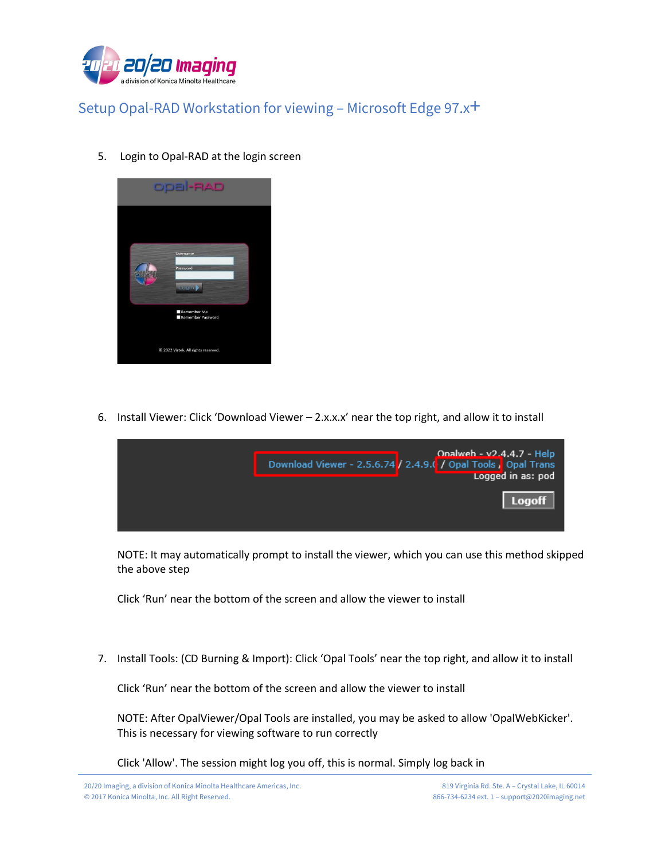

5. Login to Opal-RAD at the login screen



6. Install Viewer: Click 'Download Viewer – 2.x.x.x' near the top right, and allow it to install



NOTE: It may automatically prompt to install the viewer, which you can use this method skipped the above step

Click 'Run' near the bottom of the screen and allow the viewer to install

7. Install Tools: (CD Burning & Import): Click 'Opal Tools' near the top right, and allow it to install

Click 'Run' near the bottom of the screen and allow the viewer to install

NOTE: After OpalViewer/Opal Tools are installed, you may be asked to allow 'OpalWebKicker'. This is necessary for viewing software to run correctly

Click 'Allow'. The session might log you off, this is normal. Simply log back in